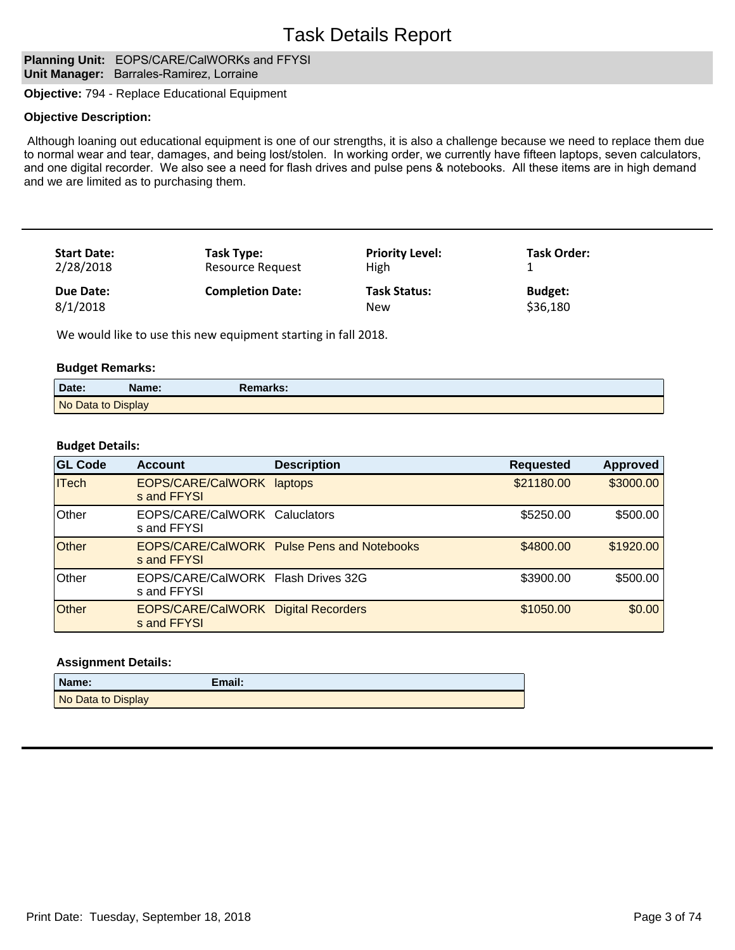# Task Details Report

## **Planning Unit: EOPS/CARE/CalWORKs and FFYSI Unit Manager:** Barrales-Ramirez, Lorraine

**Objective:** 794 - Replace Educational Equipment

#### **Objective Description:**

 Although loaning out educational equipment is one of our strengths, it is also a challenge because we need to replace them due to normal wear and tear, damages, and being lost/stolen. In working order, we currently have fifteen laptops, seven calculators, and one digital recorder. We also see a need for flash drives and pulse pens & notebooks. All these items are in high demand and we are limited as to purchasing them.

| <b>Start Date:</b> | Task Type:              | <b>Priority Level:</b> | <b>Task Order:</b> |
|--------------------|-------------------------|------------------------|--------------------|
| 2/28/2018          | <b>Resource Request</b> | <b>High</b>            |                    |
| Due Date:          | <b>Completion Date:</b> | <b>Task Status:</b>    | <b>Budget:</b>     |
| 8/1/2018           |                         | New                    | \$36,180           |

We would like to use this new equipment starting in fall 2018.

#### **Budget Remarks:**

| Date:              | Name: | Remarks: |  |
|--------------------|-------|----------|--|
| No Data to Display |       |          |  |

#### **Budget Details:**

| <b>GL Code</b> | <b>Account</b>                                            | <b>Description</b>                         | <b>Requested</b> | <b>Approved</b> |
|----------------|-----------------------------------------------------------|--------------------------------------------|------------------|-----------------|
| <b>ITech</b>   | EOPS/CARE/CalWORK<br>s and FFYSI                          | laptops                                    | \$21180.00       | \$3000.00       |
| <b>Other</b>   | EOPS/CARE/CalWORK Caluclators<br>s and FFYSI              |                                            | \$5250.00        | \$500.00        |
| Other          | s and FFYSI                                               | EOPS/CARE/CalWORK Pulse Pens and Notebooks | \$4800.00        | \$1920.00       |
| Other          | EOPS/CARE/CalWORK Flash Drives 32G<br>s and FFYSI         |                                            | \$3900.00        | \$500.00        |
| <b>Other</b>   | <b>EOPS/CARE/CalWORK Digital Recorders</b><br>s and FFYSI |                                            | \$1050.00        | \$0.00          |

| Name:              | Email: |
|--------------------|--------|
| No Data to Display |        |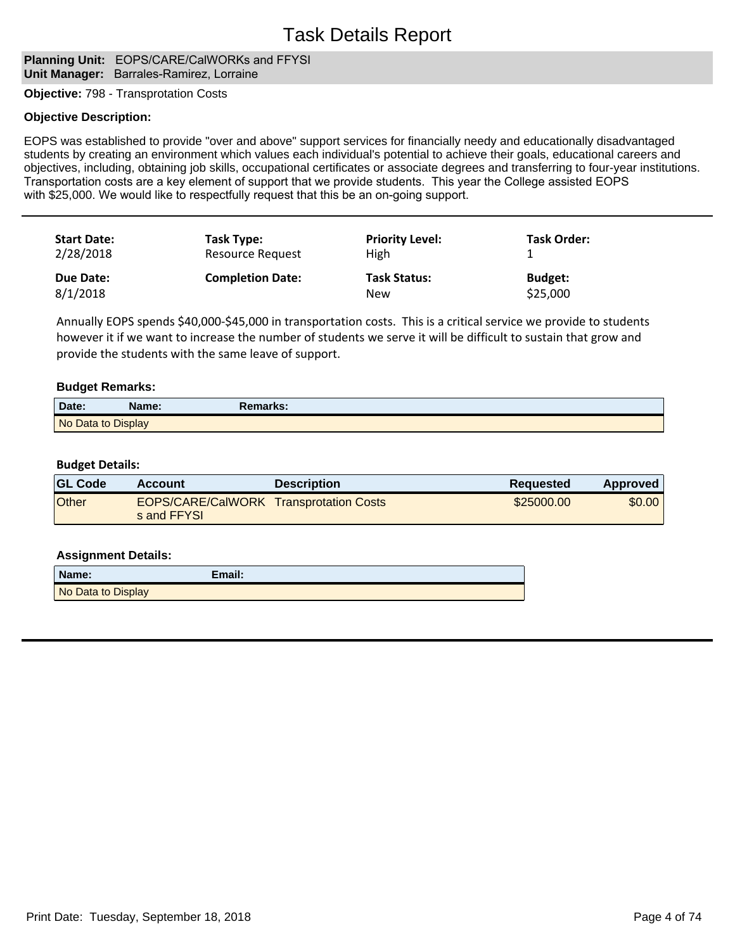## **Planning Unit: EOPS/CARE/CalWORKs and FFYSI Unit Manager:** Barrales-Ramirez, Lorraine

**Objective:** 798 - Transprotation Costs

#### **Objective Description:**

EOPS was established to provide "over and above" support services for financially needy and educationally disadvantaged students by creating an environment which values each individual's potential to achieve their goals, educational careers and objectives, including, obtaining job skills, occupational certificates or associate degrees and transferring to four-year institutions. Transportation costs are a key element of support that we provide students. This year the College assisted EOPS with \$25,000. We would like to respectfully request that this be an on-going support.

| <b>Start Date:</b> | Task Type:              | <b>Priority Level:</b> | <b>Task Order:</b> |
|--------------------|-------------------------|------------------------|--------------------|
| 2/28/2018          | Resource Request        | High                   |                    |
| Due Date:          | <b>Completion Date:</b> | <b>Task Status:</b>    | <b>Budget:</b>     |
| 8/1/2018           |                         | New                    | \$25,000           |

Annually EOPS spends \$40,000-\$45,000 in transportation costs. This is a critical service we provide to students however it if we want to increase the number of students we serve it will be difficult to sustain that grow and provide the students with the same leave of support.

#### **Budget Remarks:**

| Date:              | Name: | Remarks: |  |
|--------------------|-------|----------|--|
| No Data to Display |       |          |  |

#### **Budget Details:**

| <b>GL Code</b> | <b>Account</b>                                               | <b>Description</b> | <b>Requested</b> | Approved |
|----------------|--------------------------------------------------------------|--------------------|------------------|----------|
| <b>Other</b>   | <b>EOPS/CARE/CalWORK Transprotation Costs</b><br>s and FFYSL |                    | \$25000.00       | \$0.00   |

| Name:              | Email: |
|--------------------|--------|
| No Data to Display |        |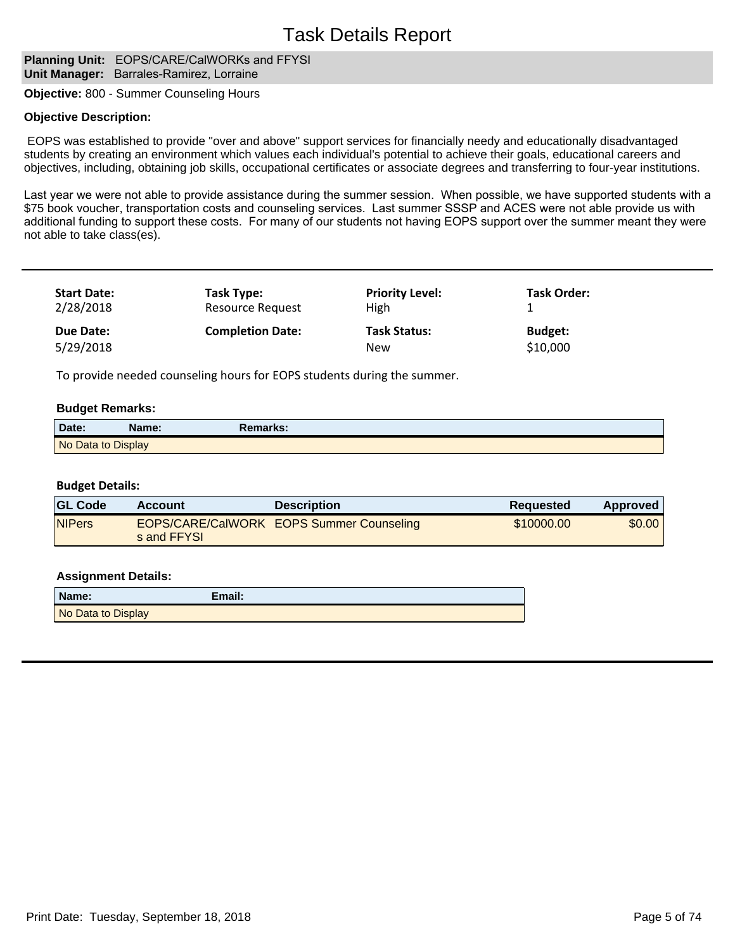#### **Planning Unit: EOPS/CARE/CalWORKs and FFYSI Unit Manager:** Barrales-Ramirez, Lorraine

**Objective:** 800 - Summer Counseling Hours

#### **Objective Description:**

 EOPS was established to provide "over and above" support services for financially needy and educationally disadvantaged students by creating an environment which values each individual's potential to achieve their goals, educational careers and objectives, including, obtaining job skills, occupational certificates or associate degrees and transferring to four-year institutions.

Last year we were not able to provide assistance during the summer session. When possible, we have supported students with a \$75 book voucher, transportation costs and counseling services. Last summer SSSP and ACES were not able provide us with additional funding to support these costs. For many of our students not having EOPS support over the summer meant they were not able to take class(es).

| <b>Start Date:</b> | Task Type:              | <b>Priority Level:</b> | Task Order:    |
|--------------------|-------------------------|------------------------|----------------|
| 2/28/2018          | <b>Resource Request</b> | High                   |                |
| Due Date:          | <b>Completion Date:</b> | <b>Task Status:</b>    | <b>Budget:</b> |
| 5/29/2018          |                         | <b>New</b>             | \$10,000       |

To provide needed counseling hours for EOPS students during the summer.

#### **Budget Remarks:**

| Date:              | Name: | Remarks: |  |
|--------------------|-------|----------|--|
| No Data to Display |       |          |  |

#### **Budget Details:**

| <b>GL Code</b> | Account     | <b>Description</b>                              | <b>Requested</b> | <b>Approved</b> |
|----------------|-------------|-------------------------------------------------|------------------|-----------------|
| <b>NIPers</b>  | s and FFYSL | <b>EOPS/CARE/CalWORK EOPS Summer Counseling</b> | \$10000.00       | \$0.00          |

| Name:              | Email: |
|--------------------|--------|
| No Data to Display |        |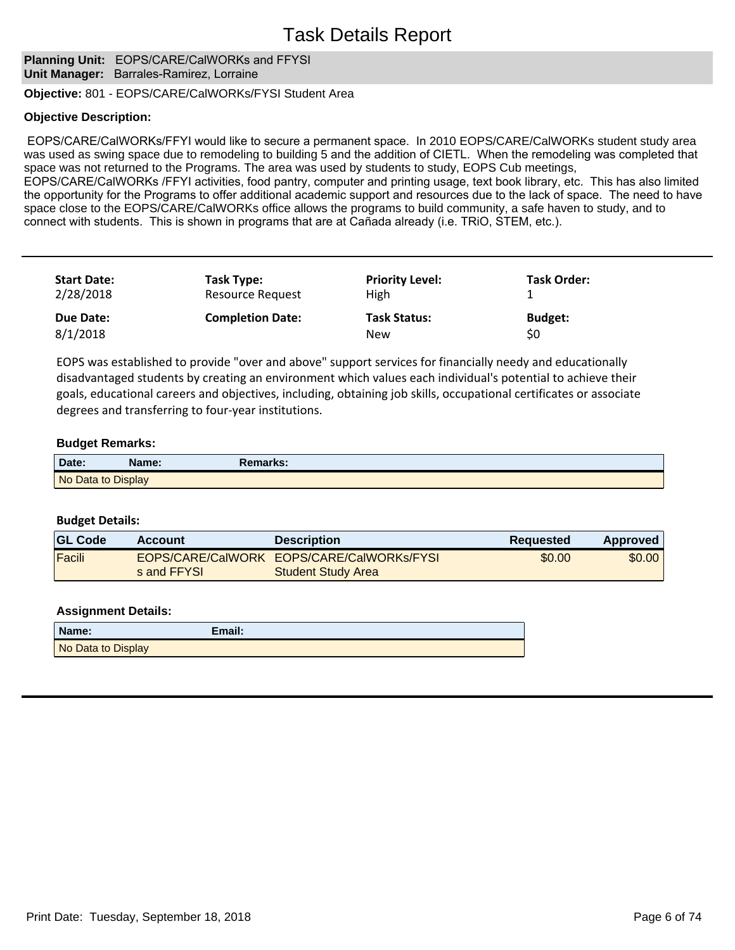# Task Details Report

**Planning Unit: EOPS/CARE/CalWORKs and FFYSI Unit Manager:** Barrales-Ramirez, Lorraine

**Objective:** 801 - EOPS/CARE/CalWORKs/FYSI Student Area

### **Objective Description:**

EOPS/CARE/CalWORKs/FFYI would like to secure a permanent space. In 2010 EOPS/CARE/CalWORKs student study area was used as swing space due to remodeling to building 5 and the addition of CIETL. When the remodeling was completed that space was not returned to the Programs. The area was used by students to study, EOPS Cub meetings, EOPS/CARE/CalWORKs /FFYI activities, food pantry, computer and printing usage, text book library, etc. This has also limited the opportunity for the Programs to offer additional academic support and resources due to the lack of space. The need to have space close to the EOPS/CARE/CalWORKs office allows the programs to build community, a safe haven to study, and to

connect with students. This is shown in programs that are at Cañada already (i.e. TRIO, STEM, etc.).

| <b>Start Date:</b> | Task Type:              | <b>Priority Level:</b> | <b>Task Order:</b> |
|--------------------|-------------------------|------------------------|--------------------|
| 2/28/2018          | <b>Resource Request</b> | <b>High</b>            |                    |
| Due Date:          | <b>Completion Date:</b> | <b>Task Status:</b>    | <b>Budget:</b>     |
| 8/1/2018           |                         | <b>New</b>             | \$0                |

EOPS was established to provide "over and above" support services for financially needy and educationally disadvantaged students by creating an environment which values each individual's potential to achieve their goals, educational careers and objectives, including, obtaining job skills, occupational certificates or associate degrees and transferring to four-year institutions.

### **Budget Remarks:**

| Date:              | Name: | Remarks: |
|--------------------|-------|----------|
| No Data to Display |       |          |

#### **Budget Details:**

| <b>GL Code</b> | Account     | <b>Description</b>                                                     | Reguested | Approved |
|----------------|-------------|------------------------------------------------------------------------|-----------|----------|
| Facili         | s and FFYSL | EOPS/CARE/CalWORK EOPS/CARE/CalWORKs/FYSI<br><b>Student Study Area</b> | \$0.00    | \$0.00   |

| Name:              | Email: |
|--------------------|--------|
| No Data to Display |        |